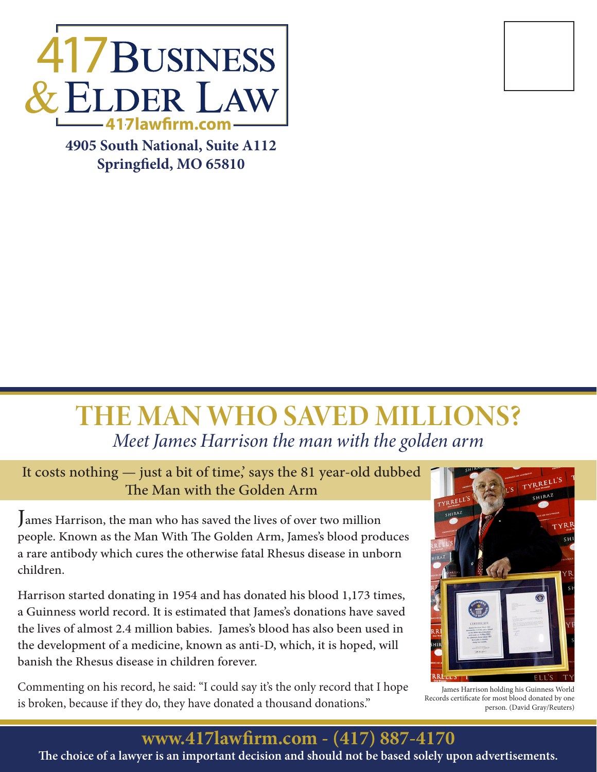

**4905 South National, Suite A112 Springfield, MO 65810**



# THE MAN WHO SAVED MILLIONS? *Meet James Harrison the man with the golden arm*

#### It costs nothing — just a bit of time,' says the 81 year-old dubbed The Man with the Golden Arm

James Harrison, the man who has saved the lives of over two million people. Known as the Man With The Golden Arm, James's blood produces a rare antibody which cures the otherwise fatal Rhesus disease in unborn children.

Harrison started donating in 1954 and has donated his blood 1,173 times, a Guinness world record. It is estimated that James's donations have saved the lives of almost 2.4 million babies. James's blood has also been used in the development of a medicine, known as anti-D, which, it is hoped, will banish the Rhesus disease in children forever.

Commenting on his record, he said: "I could say it's the only record that I hope is broken, because if they do, they have donated a thousand donations."



James Harrison holding his Guinness World Records certificate for most blood donated by one person. (David Gray/Reuters)

**www.417lawfirm.com - (417) 887-4170**

**The choice of a lawyer is an important decision and should not be based solely upon advertisements.**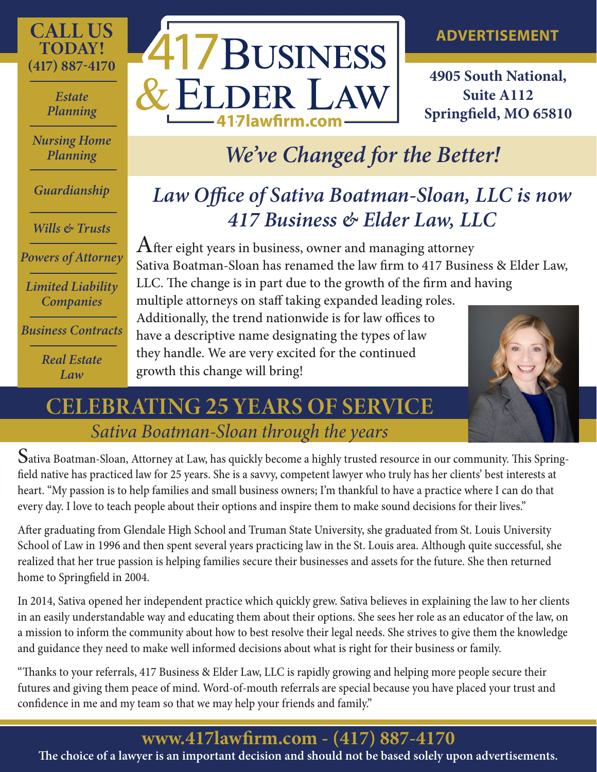

#### **ADVERTISEMENT**

**4905 South National, Suite A112**

# *We've Changed for the Better!*

## *Law Office of Sativa Boatman-Sloan, LLC is now 417 Business & Elder Law, LLC*

After eight years in business, owner and managing attorney Sativa Boatman-Sloan has renamed the law firm to 417 Business & Elder Law, LLC. The change is in part due to the growth of the firm and having multiple attorneys on staff taking expanded leading roles. Additionally, the trend nationwide is for law offices to have a descriptive name designating the types of law

they handle. We are very excited for the continued growth this change will bring!



Sativa Boatman-Sloan, Attorney at Law, has quickly become a highly trusted resource in our community. This Springfield native has practiced law for 25 years. She is a savvy, competent lawyer who truly has her clients' best interests at heart. "My passion is to help families and small business owners; I'm thankful to have a practice where I can do that every day. I love to teach people about their options and inspire them to make sound decisions for their lives."

After graduating from Glendale High School and Truman State University, she graduated from St. Louis University School of Law in 1996 and then spent several years practicing law in the St. Louis area. Although quite successful, she realized that her true passion is helping families secure their businesses and assets for the future. She then returned home to Springfield in 2004.

In 2014, Sativa opened her independent practice which quickly grew. Sativa believes in explaining the law to her clients in an easily understandable way and educating them about their options. She sees her role as an educator of the law, on a mission to inform the community about how to best resolve their legal needs. She strives to give them the knowledge and guidance they need to make well informed decisions about what is right for their business or family.

"Thanks to your referrals, 417 Business & Elder Law, LLC is rapidly growing and helping more people secure their futures and giving them peace of mind. Word-of-mouth referrals are special because you have placed your trust and confidence in me and my team so that we may help your friends and family."

### **www.417lawfirm.com - (417) 887-4170**

**The choice of a lawyer is an important decision and should not be based solely upon advertisements.**

*Estate Planning*

TODAY!

*Nursing Home Planning*

*Guardianship*

*Wills & Trusts*

*Powers of Attorney*

*Limited Liability Companies*

*Business Contracts*

*Real Estate Law*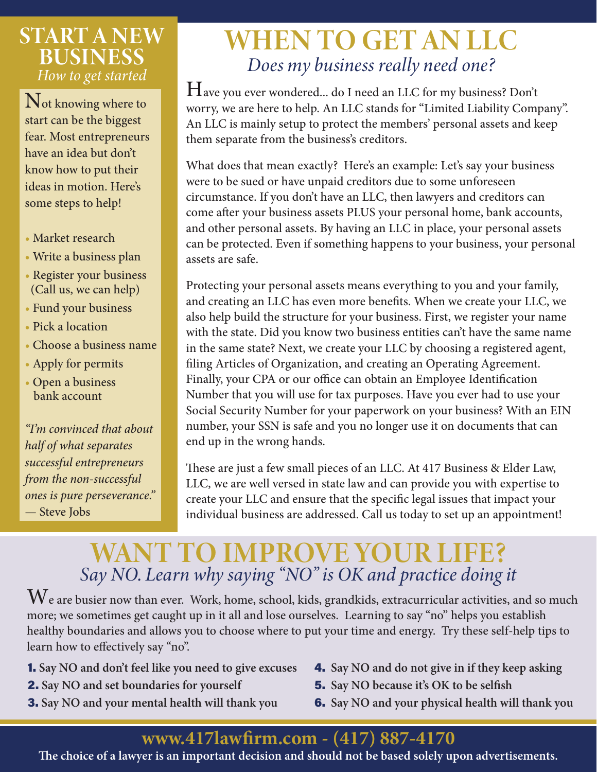### START A NEW BUSINESS *How to get started*

Not knowing where to start can be the biggest fear. Most entrepreneurs have an idea but don't know how to put their ideas in motion. Here's some steps to help!

- Market research
- Write a business plan
- Register your business (Call us, we can help)
- Fund your business
- Pick a location
- Choose a business name
- Apply for permits
- Open a business bank account

*"I'm convinced that about half of what separates successful entrepreneurs from the non-successful ones is pure perseverance."* — Steve Jobs

# WHEN TO GET AN LLC *Does my business really need one?*

Have you ever wondered... do I need an LLC for my business? Don't worry, we are here to help. An LLC stands for "Limited Liability Company". An LLC is mainly setup to protect the members' personal assets and keep them separate from the business's creditors.

What does that mean exactly? Here's an example: Let's say your business were to be sued or have unpaid creditors due to some unforeseen circumstance. If you don't have an LLC, then lawyers and creditors can come after your business assets PLUS your personal home, bank accounts, and other personal assets. By having an LLC in place, your personal assets can be protected. Even if something happens to your business, your personal assets are safe.

Protecting your personal assets means everything to you and your family, and creating an LLC has even more benefits. When we create your LLC, we also help build the structure for your business. First, we register your name with the state. Did you know two business entities can't have the same name in the same state? Next, we create your LLC by choosing a registered agent, filing Articles of Organization, and creating an Operating Agreement. Finally, your CPA or our office can obtain an Employee Identification Number that you will use for tax purposes. Have you ever had to use your Social Security Number for your paperwork on your business? With an EIN number, your SSN is safe and you no longer use it on documents that can end up in the wrong hands.

These are just a few small pieces of an LLC. At 417 Business & Elder Law, LLC, we are well versed in state law and can provide you with expertise to create your LLC and ensure that the specific legal issues that impact your individual business are addressed. Call us today to set up an appointment!

## WANT TO IMPROVE YOUR LIFE? *Say NO. Learn why saying "NO" is OK and practice doing it*

 $W$ e are busier now than ever. Work, home, school, kids, grandkids, extracurricular activities, and so much more; we sometimes get caught up in it all and lose ourselves. Learning to say "no" helps you establish healthy boundaries and allows you to choose where to put your time and energy. Try these self-help tips to learn how to effectively say "no".

- 1. **Say NO and don't feel like you need to give excuses**
- 2. **Say NO and set boundaries for yourself**
- 3. **Say NO and your mental health will thank you**
- 4. **Say NO and do not give in if they keep asking**
- 5. **Say NO because it's OK to be selfish**
- 6. **Say NO and your physical health will thank you**

### **www.417lawfirm.com - (417) 887-4170**

**The choice of a lawyer is an important decision and should not be based solely upon advertisements.**